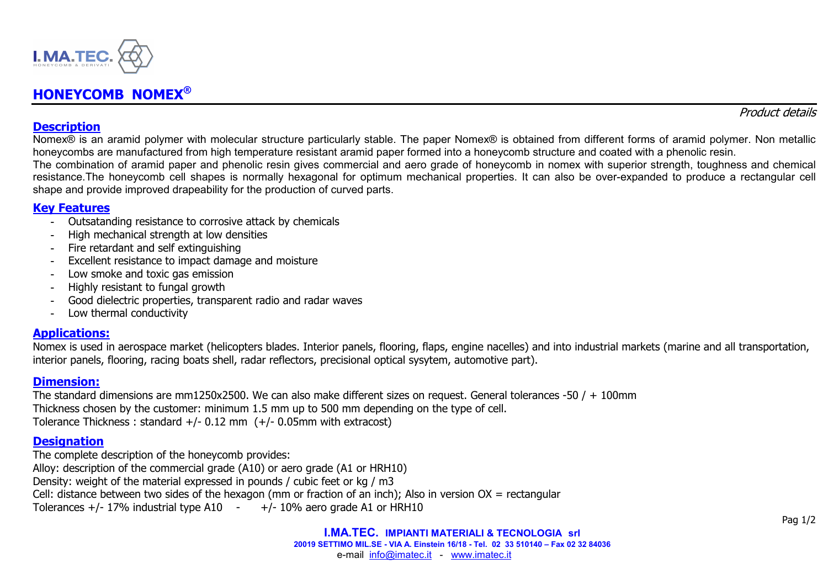

# **HONEYCOMB NOMEX®**

#### Product details

### **Description**

 Nomex® is an aramid polymer with molecular structure particularly stable. The paper Nomex® is obtained from different forms of aramid polymer. Non metallic honeycombs are manufactured from high temperature resistant aramid paper formed into a honeycomb structure and coated with a phenolic resin.

 The combination of aramid paper and phenolic resin gives commercial and aero grade of honeycomb in nomex with superior strength, toughness and chemical resistance.The honeycomb cell shapes is normally hexagonal for optimum mechanical properties. It can also be over-expanded to produce a rectangular cell shape and provide improved drapeability for the production of curved parts.

# **Key Features**

- Outsatanding resistance to corrosive attack by chemicals
- High mechanical strength at low densities
- Fire retardant and self extinguishing
- Excellent resistance to impact damage and moisture
- Low smoke and toxic gas emission
- Highly resistant to fungal growth
- Good dielectric properties, transparent radio and radar waves
- Low thermal conductivity

### **Applications:**

 Nomex is used in aerospace market (helicopters blades. Interior panels, flooring, flaps, engine nacelles) and into industrial markets (marine and all transportation, interior panels, flooring, racing boats shell, radar reflectors, precisional optical sysytem, automotive part).

### **Dimension:**

 The standard dimensions are mm1250x2500. We can also make different sizes on request. General tolerances -50 / + 100mm Thickness chosen by the customer: minimum 1.5 mm up to 500 mm depending on the type of cell. Tolerance Thickness : standard  $+/- 0.12$  mm  $(+/- 0.05$ mm with extracost)

# **Designation**

 The complete description of the honeycomb provides: Alloy: description of the commercial grade (A10) or aero grade (A1 or HRH10) Density: weight of the material expressed in pounds / cubic feet or kg / m3 Cell: distance between two sides of the hexagon (mm or fraction of an inch); Also in version OX = rectangular Tolerances  $+/- 17\%$  industrial type A10  $+/- 10\%$  aero grade A1 or HRH10